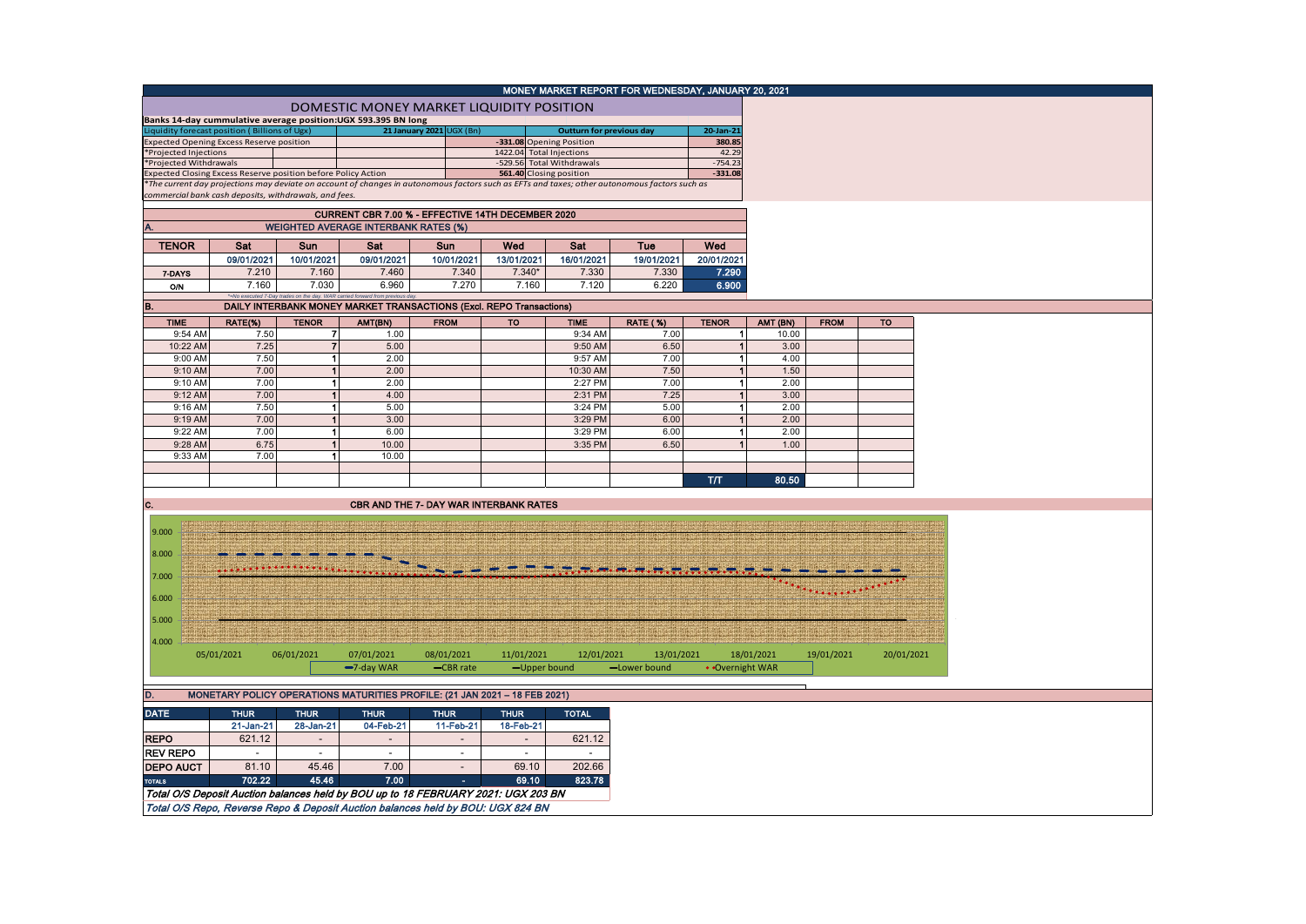|                                                                                         |                                                       |                                                                             |                                                               |                                                                                   |             | MONEY MARKET REPORT FOR WEDNESDAY, JANUARY 20, 2021                                                                                           |                 |                        |              |             |            |
|-----------------------------------------------------------------------------------------|-------------------------------------------------------|-----------------------------------------------------------------------------|---------------------------------------------------------------|-----------------------------------------------------------------------------------|-------------|-----------------------------------------------------------------------------------------------------------------------------------------------|-----------------|------------------------|--------------|-------------|------------|
|                                                                                         |                                                       |                                                                             |                                                               | DOMESTIC MONEY MARKET LIQUIDITY POSITION                                          |             |                                                                                                                                               |                 |                        |              |             |            |
|                                                                                         | iquidity forecast position (Billions of Ugx)          |                                                                             | Banks 14-day cummulative average position:UGX 593.395 BN long | 21 January 2021 UGX (Bn)                                                          |             | <b>Outturn for previous day</b>                                                                                                               |                 | $20$ -Jan-21           |              |             |            |
|                                                                                         | Expected Opening Excess Reserve position              |                                                                             |                                                               |                                                                                   |             | -331.08 Opening Position                                                                                                                      |                 | 380.85                 |              |             |            |
| *Projected Injections                                                                   |                                                       |                                                                             |                                                               |                                                                                   |             | 1422.04 Total Injections                                                                                                                      |                 | 42.29                  |              |             |            |
| *Projected Withdrawals<br>Expected Closing Excess Reserve position before Policy Action |                                                       |                                                                             |                                                               |                                                                                   |             | -529.56 Total Withdrawals<br>561.40 Closing position                                                                                          |                 | $-754.23$<br>$-331.08$ |              |             |            |
|                                                                                         |                                                       |                                                                             |                                                               |                                                                                   |             | *The current day projections may deviate on account of changes in autonomous factors such as EFTs and taxes; other autonomous factors such as |                 |                        |              |             |            |
|                                                                                         | commercial bank cash deposits, withdrawals, and fees. |                                                                             |                                                               |                                                                                   |             |                                                                                                                                               |                 |                        |              |             |            |
|                                                                                         |                                                       |                                                                             |                                                               | CURRENT CBR 7.00 % - EFFECTIVE 14TH DECEMBER 2020                                 |             |                                                                                                                                               |                 |                        |              |             |            |
|                                                                                         |                                                       |                                                                             | <b>WEIGHTED AVERAGE INTERBANK RATES (%)</b>                   |                                                                                   |             |                                                                                                                                               |                 |                        |              |             |            |
| <b>TENOR</b>                                                                            | Sat                                                   | <b>Sun</b>                                                                  | Sat                                                           | Sun                                                                               | Wed         | Sat                                                                                                                                           | Tue             | Wed                    |              |             |            |
|                                                                                         | 09/01/2021                                            | 10/01/2021                                                                  | 09/01/2021                                                    | 10/01/2021                                                                        | 13/01/2021  | 16/01/2021                                                                                                                                    | 19/01/2021      | 20/01/2021             |              |             |            |
| 7-DAYS                                                                                  | 7.210                                                 | 7.160                                                                       | 7.460                                                         | 7.340                                                                             | $7.340*$    | 7.330                                                                                                                                         | 7.330           | 7.290                  |              |             |            |
| 0/N                                                                                     | 7.160                                                 | 7.030<br>*=No executed 7-Day trades on the day. WAR carried forward from pn | 6.960                                                         | 7.270                                                                             | 7.160       | 7.120                                                                                                                                         | 6.220           | 6.900                  |              |             |            |
| B.                                                                                      |                                                       |                                                                             |                                                               | DAILY INTERBANK MONEY MARKET TRANSACTIONS (Excl. REPO Transactions)               |             |                                                                                                                                               |                 |                        |              |             |            |
| <b>TIME</b>                                                                             | RATE(%)                                               | <b>TENOR</b>                                                                | AMT(BN)                                                       | <b>FROM</b>                                                                       | <b>TO</b>   | <b>TIME</b>                                                                                                                                   | <b>RATE (%)</b> | <b>TENOR</b>           | AMT (BN)     | <b>FROM</b> |            |
| 9:54 AM                                                                                 | 7.50                                                  | 7                                                                           | 1.00                                                          |                                                                                   |             | 9:34 AM                                                                                                                                       | 7.00            | 1 <sup>1</sup>         | 10.00        |             |            |
| 10:22 AM                                                                                | 7.25                                                  | $\overline{7}$                                                              | 5.00                                                          |                                                                                   |             | 9:50 AM                                                                                                                                       | 6.50            | $\vert$ 1              | 3.00         |             |            |
| 9:00 AM                                                                                 | 7.50                                                  | $\vert$ 1                                                                   | 2.00                                                          |                                                                                   |             | 9:57 AM                                                                                                                                       | 7.00            | $\mathbf{1}$           | 4.00         |             |            |
| 9:10 AM                                                                                 | 7.00                                                  | 1                                                                           | 2.00                                                          |                                                                                   |             | 10:30 AM                                                                                                                                      | 7.50            | $\vert$                | 1.50         |             |            |
| 9:10 AM                                                                                 | 7.00                                                  | $\vert$ 1                                                                   | 2.00                                                          |                                                                                   |             | 2:27 PM                                                                                                                                       | 7.00            | $\blacksquare$         | 2.00         |             |            |
| 9:12 AM                                                                                 | 7.00                                                  | $\vert$                                                                     | 4.00                                                          |                                                                                   |             | 2:31 PM                                                                                                                                       | 7.25            | $\vert$ 1              | 3.00         |             |            |
| 9:16 AM<br>9:19 AM                                                                      | 7.50<br>7.00                                          | $\vert$ 1<br>1                                                              | 5.00<br>3.00                                                  |                                                                                   |             | 3:24 PM<br>3:29 PM                                                                                                                            | 5.00<br>6.00    | $\mathbf{1}$<br>1      | 2.00<br>2.00 |             |            |
|                                                                                         | 7.00                                                  | $\vert$ 1                                                                   | 6.00                                                          |                                                                                   |             | 3:29 PM                                                                                                                                       | 6.00            | 1 <sup>1</sup>         | 2.00         |             |            |
| 9:22 AM<br>9:28 AM                                                                      | 6.75                                                  | 1                                                                           | 10.00                                                         |                                                                                   |             | 3:35 PM                                                                                                                                       | 6.50            | 1                      | 1.00         |             |            |
| 9:33 AM                                                                                 | 7.00                                                  | $\vert$ 1                                                                   | 10.00                                                         |                                                                                   |             |                                                                                                                                               |                 |                        |              |             |            |
|                                                                                         |                                                       |                                                                             |                                                               |                                                                                   |             |                                                                                                                                               |                 |                        |              |             |            |
|                                                                                         |                                                       |                                                                             |                                                               |                                                                                   |             |                                                                                                                                               |                 | T/T                    | 80.50        |             |            |
|                                                                                         |                                                       |                                                                             |                                                               |                                                                                   |             |                                                                                                                                               |                 |                        |              |             |            |
| c.                                                                                      |                                                       |                                                                             |                                                               | CBR AND THE 7- DAY WAR INTERBANK RATES                                            |             |                                                                                                                                               |                 |                        |              |             |            |
| 9.000                                                                                   |                                                       |                                                                             |                                                               |                                                                                   |             |                                                                                                                                               |                 |                        |              |             |            |
|                                                                                         |                                                       |                                                                             |                                                               |                                                                                   |             |                                                                                                                                               |                 |                        |              |             |            |
| 8.000                                                                                   |                                                       |                                                                             |                                                               |                                                                                   |             |                                                                                                                                               |                 |                        |              |             |            |
|                                                                                         |                                                       |                                                                             |                                                               |                                                                                   |             |                                                                                                                                               |                 |                        |              |             |            |
| 7.000                                                                                   |                                                       |                                                                             |                                                               |                                                                                   |             |                                                                                                                                               |                 |                        |              |             |            |
| 6.000                                                                                   |                                                       |                                                                             |                                                               |                                                                                   |             |                                                                                                                                               |                 |                        |              | .           |            |
|                                                                                         |                                                       |                                                                             |                                                               |                                                                                   |             |                                                                                                                                               |                 |                        |              |             |            |
| 5.000                                                                                   |                                                       |                                                                             |                                                               |                                                                                   |             |                                                                                                                                               |                 |                        |              |             |            |
| 4.000                                                                                   |                                                       |                                                                             |                                                               |                                                                                   |             |                                                                                                                                               |                 |                        |              |             |            |
|                                                                                         | 05/01/2021                                            | 06/01/2021                                                                  | 07/01/2021                                                    | 08/01/2021                                                                        | 11/01/2021  | 12/01/2021                                                                                                                                    | 13/01/2021      |                        | 18/01/2021   | 19/01/2021  | 20/01/2021 |
|                                                                                         |                                                       |                                                                             | $-7$ -day WAR                                                 | -CBR rate                                                                         |             | -Upper bound                                                                                                                                  | -Lower bound    | • Overnight WAR        |              |             |            |
|                                                                                         |                                                       |                                                                             |                                                               |                                                                                   |             |                                                                                                                                               |                 |                        |              |             |            |
| D.                                                                                      |                                                       |                                                                             |                                                               | MONETARY POLICY OPERATIONS MATURITIES PROFILE: (21 JAN 2021 - 18 FEB 2021)        |             |                                                                                                                                               |                 |                        |              |             |            |
| <b>DATE</b>                                                                             | <b>THUR</b>                                           | <b>THUR</b>                                                                 | <b>THUR</b>                                                   | <b>THUR</b>                                                                       | <b>THUR</b> | <b>TOTAL</b>                                                                                                                                  |                 |                        |              |             |            |
|                                                                                         | 21-Jan-21                                             | 28-Jan-21                                                                   | 04-Feb-21                                                     | 11-Feb-21                                                                         | 18-Feb-21   |                                                                                                                                               |                 |                        |              |             |            |
| <b>REPO</b>                                                                             | 621.12                                                | $\blacksquare$                                                              |                                                               |                                                                                   |             | 621.12                                                                                                                                        |                 |                        |              |             |            |
| <b>REV REPO</b>                                                                         | $\sim$                                                | $\sim$                                                                      | $\sim$                                                        | $\sim$                                                                            | $\sim$      | $\overline{\phantom{a}}$                                                                                                                      |                 |                        |              |             |            |
| <b>DEPO AUCT</b>                                                                        | 81.10                                                 | 45.46                                                                       | 7.00                                                          |                                                                                   | 69.10       | 202.66                                                                                                                                        |                 |                        |              |             |            |
| <b>TOTALS</b>                                                                           | 702.22                                                | 45.46                                                                       | 7.00                                                          | $\overline{\phantom{a}}$<br>$\sim$                                                | 69.10       | 823.78                                                                                                                                        |                 |                        |              |             |            |
|                                                                                         |                                                       |                                                                             |                                                               | Total O/S Deposit Auction balances held by BOU up to 18 FEBRUARY 2021: UGX 203 BN |             |                                                                                                                                               |                 |                        |              |             |            |
|                                                                                         |                                                       |                                                                             |                                                               |                                                                                   |             |                                                                                                                                               |                 |                        |              |             |            |
|                                                                                         |                                                       |                                                                             |                                                               | Total O/S Repo, Reverse Repo & Deposit Auction balances held by BOU: UGX 824 BN   |             |                                                                                                                                               |                 |                        |              |             |            |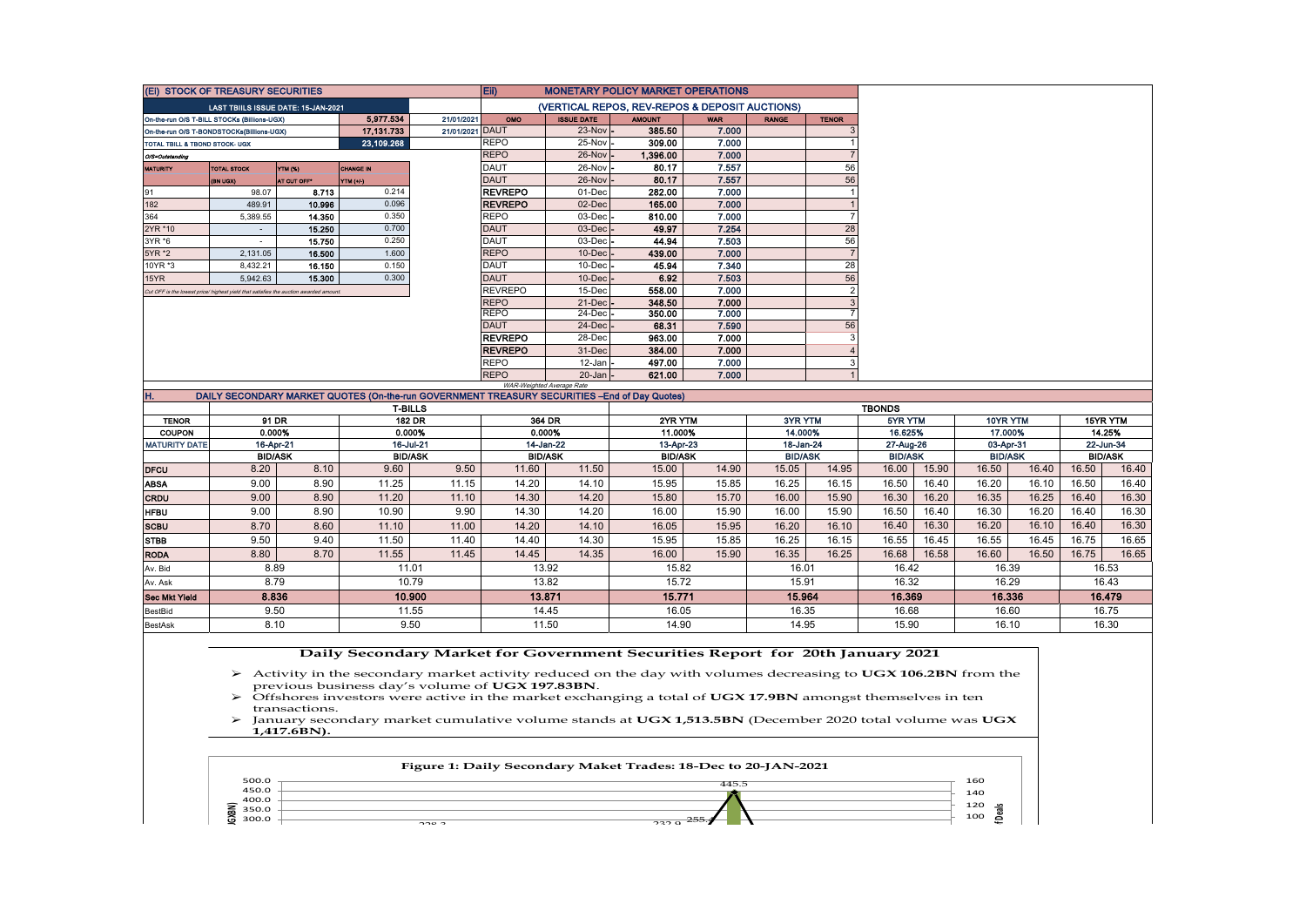| Eii)<br>(Ei) STOCK OF TREASURY SECURITIES<br><b>MONETARY POLICY MARKET OPERATIONS</b>                                                                             |                |                |                |  |  |  |  |  |  |
|-------------------------------------------------------------------------------------------------------------------------------------------------------------------|----------------|----------------|----------------|--|--|--|--|--|--|
| (VERTICAL REPOS, REV-REPOS & DEPOSIT AUCTIONS)<br><b>LAST TBIILS ISSUE DATE: 15-JAN-2021</b>                                                                      |                |                |                |  |  |  |  |  |  |
| 5,977.534<br>21/01/2021<br>OMO<br><b>ISSUE DATE</b><br><b>AMOUNT</b><br><b>WAR</b><br><b>RANGE</b><br><b>TENOR</b><br>On-the-run O/S T-BILL STOCKs (Billions-UGX) |                |                |                |  |  |  |  |  |  |
| 21/01/2021 DAUT<br>23-Nov<br>385.50<br>7.000<br>17,131.733<br>On-the-run O/S T-BONDSTOCKs(Billions-UGX)                                                           |                |                |                |  |  |  |  |  |  |
| <b>REPO</b><br>25-Nov<br>23,109.268<br>309.00<br>7.000<br>TOTAL TBILL & TBOND STOCK- UGX                                                                          |                |                |                |  |  |  |  |  |  |
| <b>REPO</b><br>7.000<br>26-Nov<br>1,396.00<br>O/S=Outstanding                                                                                                     |                |                |                |  |  |  |  |  |  |
| 7.557<br><b>DAUT</b><br>26-Nov<br>80.17<br>56<br><b>YTM (%)</b><br><b>MATURITY</b><br><b>TOTAL STOCK</b><br><b>CHANGE IN</b>                                      |                |                |                |  |  |  |  |  |  |
| 7.557<br><b>DAUT</b><br>26-Nov<br>80.17<br>56<br>AT CUT OFF*<br>YTM (+/-)<br>(BN UGX)                                                                             |                |                |                |  |  |  |  |  |  |
| <b>REVREPO</b><br>282.00<br>7.000<br>91<br>0.214<br>01-Dec<br>8.713<br>98.07<br><b>REVREPO</b><br>02-Dec<br>7.000<br>0.096<br>165.00<br>489.91                    |                |                |                |  |  |  |  |  |  |
| 182<br>10.996<br><b>REPO</b><br>7.000<br>364<br>0.350<br>03-Dec<br>$\overline{7}$<br>5,389.55<br>14.350<br>810.00                                                 |                |                |                |  |  |  |  |  |  |
| 2YR *10<br>7.254<br>15.250<br>0.700<br><b>DAUT</b><br>03-Dec<br>49.97<br>28                                                                                       |                |                |                |  |  |  |  |  |  |
| <b>DAUT</b><br>03-Dec<br>7.503<br>56<br>0.250<br>44.94<br>3YR *6<br>15.750<br>$\sim$                                                                              |                |                |                |  |  |  |  |  |  |
| $\overline{7}$<br><b>REPO</b><br>1.600<br>10-Dec<br>7.000<br>5YR *2<br>439.00<br>2,131.05<br>16,500                                                               |                |                |                |  |  |  |  |  |  |
| 0.150<br>7.340<br>16.150<br><b>DAUT</b><br>10-Dec<br>45.94<br>28<br>10YR *3<br>8,432.21                                                                           |                |                |                |  |  |  |  |  |  |
| 0.300<br><b>DAUT</b><br>7.503<br>56<br>10-Dec<br>6.92<br>5,942.63<br>15.300<br>15YR                                                                               |                |                |                |  |  |  |  |  |  |
| <b>REVREPO</b><br>7.000<br>$\overline{2}$<br>15-Dec<br>558.00<br>Cut OFF is the lowest price/ highest yield that satisfies the auction awarded amount.            |                |                |                |  |  |  |  |  |  |
| <b>REPO</b><br>7.000<br>21-Dec<br>348.50<br>3                                                                                                                     |                |                |                |  |  |  |  |  |  |
| <b>REPO</b><br>24-Dec<br>350.00<br>7.000<br>$\overline{7}$                                                                                                        |                |                |                |  |  |  |  |  |  |
| <b>DAUT</b><br>68.31<br>7.590<br>56<br>24-Dec                                                                                                                     |                |                |                |  |  |  |  |  |  |
| <b>REVREPO</b><br>28-Dec<br>7.000<br>963.00                                                                                                                       |                |                |                |  |  |  |  |  |  |
| <b>REVREPO</b><br>31-Dec<br>7.000<br>384.00                                                                                                                       |                |                |                |  |  |  |  |  |  |
| <b>REPO</b><br>12-Jan<br>497.00<br>7.000<br><b>REPO</b>                                                                                                           |                |                |                |  |  |  |  |  |  |
| $20 - Jan$<br>7.000<br>621.00<br>WAR-Weighted Average Rate                                                                                                        |                |                |                |  |  |  |  |  |  |
| Η.<br>DAILY SECONDARY MARKET QUOTES (On-the-run GOVERNMENT TREASURY SECURITIES -End of Day Quotes)                                                                |                |                |                |  |  |  |  |  |  |
| <b>T-BILLS</b>                                                                                                                                                    | <b>TBONDS</b>  |                |                |  |  |  |  |  |  |
| 91 DR<br><b>182 DR</b><br>364 DR<br>2YR YTM<br>3YR YTM<br><b>TENOR</b>                                                                                            | 5YR YTM        | 10YR YTM       | 15YR YTM       |  |  |  |  |  |  |
| <b>COUPON</b><br>0.000%<br>0.000%<br>0.000%<br>11.000%<br>14.000%                                                                                                 | 16.625%        | 17.000%        | 14.25%         |  |  |  |  |  |  |
| 16-Jul-21<br>14-Jan-22<br>16-Apr-21<br>13-Apr-23<br>18-Jan-24<br><b>MATURITY DATE</b>                                                                             | 27-Aug-26      | 03-Apr-31      | 22-Jun-34      |  |  |  |  |  |  |
| <b>BID/ASK</b><br><b>BID/ASK</b><br><b>BID/ASK</b><br><b>BID/ASK</b><br><b>BID/ASK</b>                                                                            | <b>BID/ASK</b> | <b>BID/ASK</b> | <b>BID/ASK</b> |  |  |  |  |  |  |
| 15.05<br>8.20<br>8.10<br>9.60<br>9.50<br>11.60<br>11.50<br>15.00<br>14.90<br>14.95<br><b>DFCU</b>                                                                 | 16.00<br>15.90 | 16.50<br>16.40 | 16.50<br>16.40 |  |  |  |  |  |  |
| 16.25<br>16.15<br>9.00<br>8.90<br>11.25<br>11.15<br>15.95<br>15.85<br>14.20<br>14.10<br><b>ABSA</b>                                                               | 16.50<br>16.40 | 16.20<br>16.10 | 16.50<br>16.40 |  |  |  |  |  |  |
| 9.00<br>8.90<br>11.20<br>14.20<br>15.70<br>16.00<br>15.90<br>11.10<br>14.30<br>15.80<br><b>CRDU</b>                                                               | 16.30<br>16.20 | 16.35<br>16.25 | 16.40<br>16.30 |  |  |  |  |  |  |
| 9.00<br>8.90<br>9.90<br>14.20<br>15.90<br>15.90<br>10.90<br>14.30<br>16.00<br>16.00<br><b>HFBU</b>                                                                | 16.40<br>16.50 | 16.20<br>16.30 | 16.30<br>16.40 |  |  |  |  |  |  |
| 8.70<br>8.60<br>11.00<br>14.10<br>16.05<br>15.95<br>16.20<br>16.10<br><b>SCBU</b><br>11.10<br>14.20                                                               | 16.30<br>16.40 | 16.20<br>16.10 | 16.40<br>16.30 |  |  |  |  |  |  |
| 14.30<br>9.50<br>9.40<br>11.50<br>11.40<br>15.95<br>15.85<br>16.25<br>16.15<br><b>STBB</b><br>14.40                                                               | 16.55<br>16.45 | 16.55<br>16.45 | 16.75<br>16.65 |  |  |  |  |  |  |
| 8.80<br>8.70<br>11.55<br>11.45<br>14.35<br>15.90<br>16.35<br>16.25<br>14.45<br>16.00<br><b>RODA</b>                                                               | 16.68<br>16.58 | 16.60<br>16.50 | 16.75<br>16.65 |  |  |  |  |  |  |
| 8.89<br>11.01<br>13.92<br>15.82<br>16.01<br>Av. Bid                                                                                                               | 16.42          | 16.39          | 16.53          |  |  |  |  |  |  |
| 8.79<br>10.79<br>13.82<br>15.72<br>15.91<br>Av. Ask                                                                                                               | 16.32          | 16.29          | 16.43          |  |  |  |  |  |  |
| 15.771<br>8.836<br>13.871<br>15.964<br><b>Sec Mkt Yield</b><br>10.900                                                                                             |                | 16.336         | 16.479         |  |  |  |  |  |  |
|                                                                                                                                                                   | 16.369         |                |                |  |  |  |  |  |  |
| 9.50<br>11.55<br>16.05<br>16.35<br>14.45<br>BestBid                                                                                                               | 16.68          | 16.60          | 16.75          |  |  |  |  |  |  |

## **Daily Secondary Market for Government Securities Report for 20th January 2021**

 Activity in the secondary market activity reduced on the day with volumes decreasing to **UGX 106.2BN** from the previous business day's volume of **UGX 197.83BN**.

 Offshores investors were active in the market exchanging a total of **UGX 17.9BN** amongst themselves in ten transactions.

 January secondary market cumulative volume stands at **UGX 1,513.5BN** (December 2020 total volume was **UGX 1,417.6BN).**